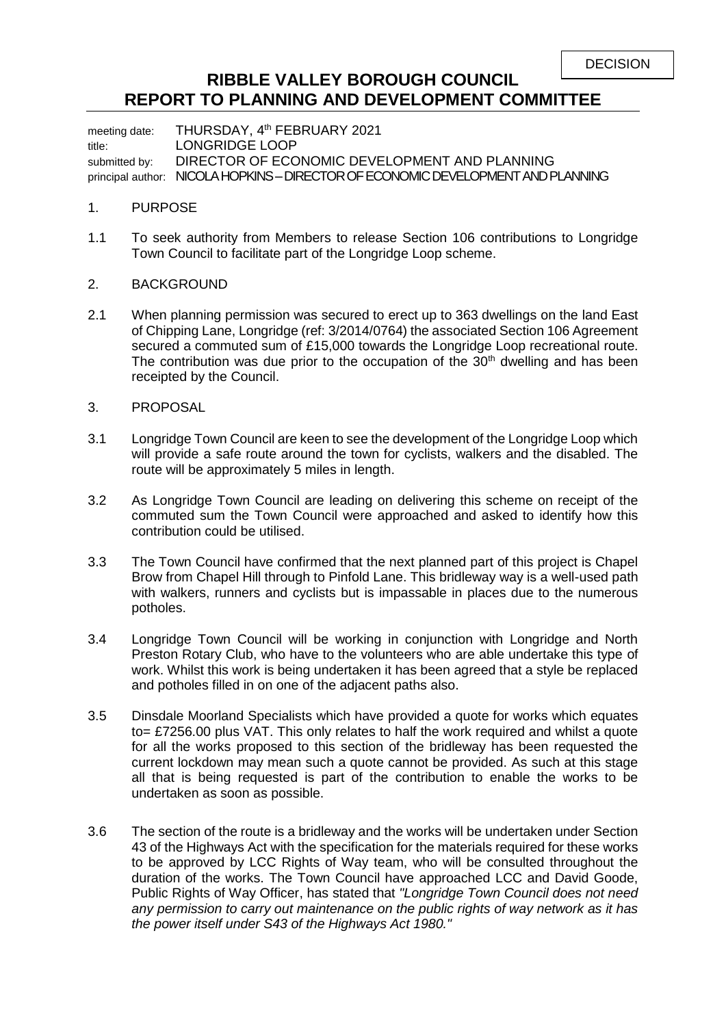## **RIBBLE VALLEY BOROUGH COUNCIL REPORT TO PLANNING AND DEVELOPMENT COMMITTEE**

meeting date: THURSDAY, 4<sup>th</sup> FEBRUARY 2021 title: LONGRIDGE LOOP submitted by: DIRECTOR OF ECONOMIC DEVELOPMENT AND PLANNING principal author: NICOLA HOPKINS – DIRECTOR OF ECONOMIC DEVELOPMENT AND PLANNING

## 1. PURPOSE

- 1.1 To seek authority from Members to release Section 106 contributions to Longridge Town Council to facilitate part of the Longridge Loop scheme.
- 2. BACKGROUND
- 2.1 When planning permission was secured to erect up to 363 dwellings on the land East of Chipping Lane, Longridge (ref: 3/2014/0764) the associated Section 106 Agreement secured a commuted sum of £15,000 towards the Longridge Loop recreational route. The contribution was due prior to the occupation of the  $30<sup>th</sup>$  dwelling and has been receipted by the Council.
- 3. PROPOSAL
- 3.1 Longridge Town Council are keen to see the development of the Longridge Loop which will provide a safe route around the town for cyclists, walkers and the disabled. The route will be approximately 5 miles in length.
- 3.2 As Longridge Town Council are leading on delivering this scheme on receipt of the commuted sum the Town Council were approached and asked to identify how this contribution could be utilised.
- 3.3 The Town Council have confirmed that the next planned part of this project is Chapel Brow from Chapel Hill through to Pinfold Lane. This bridleway way is a well-used path with walkers, runners and cyclists but is impassable in places due to the numerous potholes.
- 3.4 Longridge Town Council will be working in conjunction with Longridge and North Preston Rotary Club, who have to the volunteers who are able undertake this type of work. Whilst this work is being undertaken it has been agreed that a style be replaced and potholes filled in on one of the adjacent paths also.
- 3.5 Dinsdale Moorland Specialists which have provided a quote for works which equates to= £7256.00 plus VAT. This only relates to half the work required and whilst a quote for all the works proposed to this section of the bridleway has been requested the current lockdown may mean such a quote cannot be provided. As such at this stage all that is being requested is part of the contribution to enable the works to be undertaken as soon as possible.
- 3.6 The section of the route is a bridleway and the works will be undertaken under Section 43 of the Highways Act with the specification for the materials required for these works to be approved by LCC Rights of Way team, who will be consulted throughout the duration of the works. The Town Council have approached LCC and David Goode, Public Rights of Way Officer, has stated that *"Longridge Town Council does not need any permission to carry out maintenance on the public rights of way network as it has the power itself under S43 of the Highways Act 1980."*